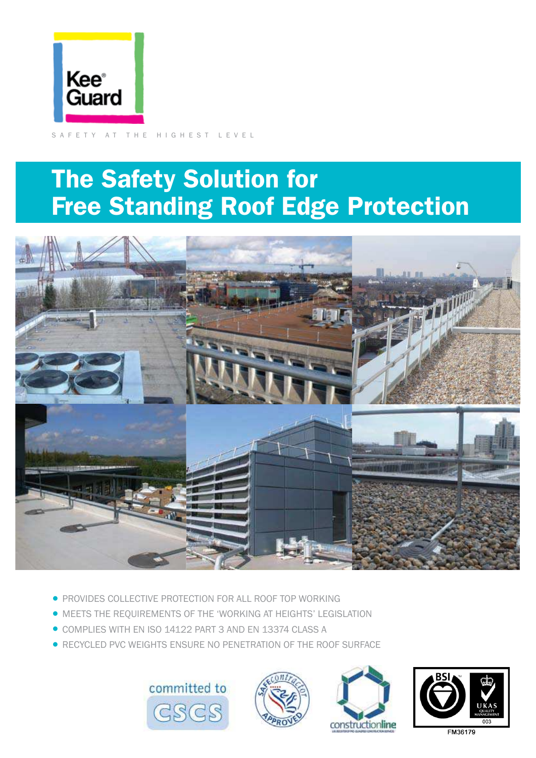

SAFETY AT THE HIGHEST LEVEL

# The Safety Solution for Free Standing Roof Edge Protection



- **PROVIDES COLLECTIVE PROTECTION FOR ALL ROOF TOP WORKING**
- MEETS THE REQUIREMENTS OF THE 'WORKING AT HEIGHTS' LEGISLATION
- •COMPLIES WITH EN ISO 14122 PART 3 AND EN 13374 CLASS A
- **RECYCLED PVC WEIGHTS ENSURE NO PENETRATION OF THE ROOF SURFACE**







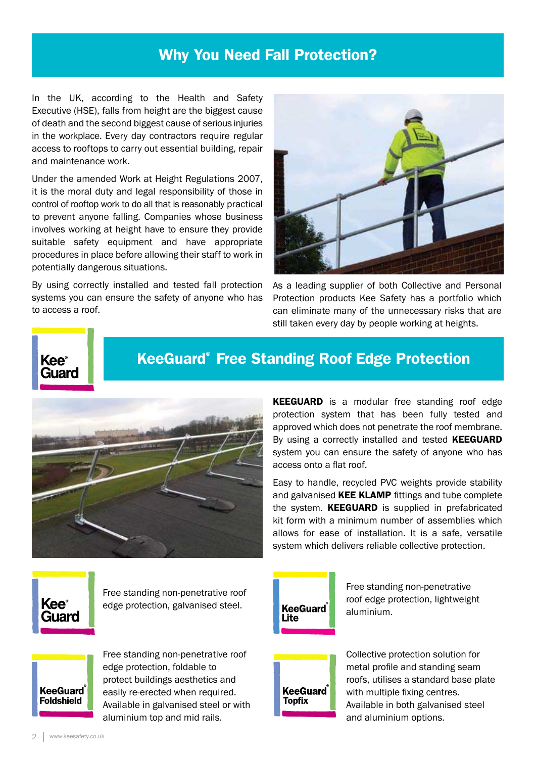### Why You Need Fall Protection?

In the UK, according to the Health and Safety Executive (HSE), falls from height are the biggest cause of death and the second biggest cause of serious injuries in the workplace. Every day contractors require regular access to rooftops to carry out essential building, repair and maintenance work.

Under the amended Work at Height Regulations 2007, it is the moral duty and legal responsibility of those in control of rooftop work to do all that is reasonably practical to prevent anyone falling. Companies whose business involves working at height have to ensure they provide suitable safety equipment and have appropriate procedures in place before allowing their staff to work in potentially dangerous situations.

By using correctly installed and tested fall protection systems you can ensure the safety of anyone who has to access a roof.



As a leading supplier of both Collective and Personal Protection products Kee Safety has a portfolio which can eliminate many of the unnecessary risks that are still taken every day by people working at heights.



### KeeGuard® Free Standing Roof Edge Protection



**KEEGUARD** is a modular free standing roof edge protection system that has been fully tested and approved which does not penetrate the roof membrane. By using a correctly installed and tested **KEEGUARD** system you can ensure the safety of anyone who has access onto a flat roof.

Easy to handle, recycled PVC weights provide stability and galvanised KEE KLAMP fittings and tube complete the system. **KEEGUARD** is supplied in prefabricated kit form with a minimum number of assemblies which allows for ease of installation. It is a safe, versatile system which delivers reliable collective protection.



Free standing non-penetrative roof edge protection, galvanised steel.



Free standing non-penetrative roof edge protection, lightweight aluminium.



Free standing non-penetrative roof edge protection, foldable to protect buildings aesthetics and easily re-erected when required. Available in galvanised steel or with aluminium top and mid rails.



**Topfix** 

Collective protection solution for metal profile and standing seam roofs, utilises a standard base plate with multiple fixing centres. Available in both galvanised steel and aluminium options.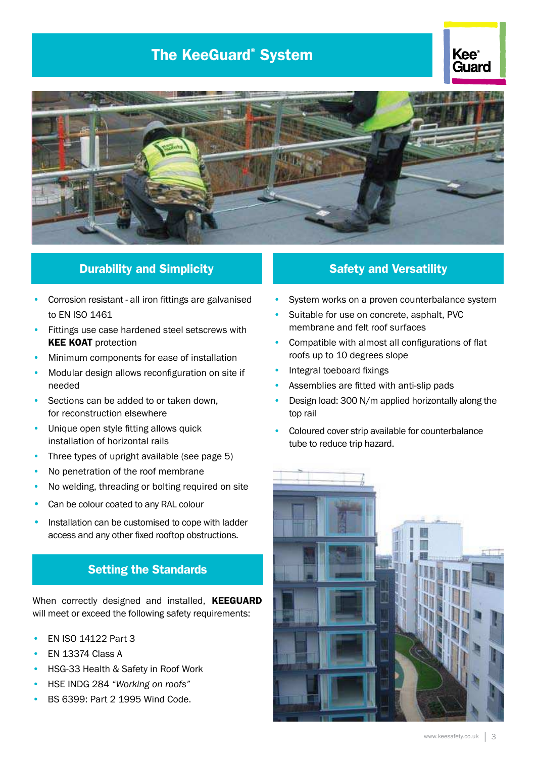### The KeeGuard® System





#### **Durability and Simplicity Construction Construction Safety and Versatility**

- Corrosion resistant all iron fittings are galvanised to EN ISO 1461
- Fittings use case hardened steel setscrews with **KEE KOAT protection**
- Minimum components for ease of installation
- Modular design allows reconfiguration on site if needed
- Sections can be added to or taken down, for reconstruction elsewhere
- Unique open style fitting allows quick installation of horizontal rails
- Three types of upright available (see page 5)
- No penetration of the roof membrane
- No welding, threading or bolting required on site
- Can be colour coated to any RAL colour
- Installation can be customised to cope with ladder access and any other ixed rooftop obstructions.

#### Setting the Standards

When correctly designed and installed, KEEGUARD will meet or exceed the following safety requirements:

- EN ISO 14122 Part 3
- EN 13374 Class A
- HSG-33 Health & Safety in Roof Work
- HSE INDG 284 *"Working on roofs"*
- BS 6399: Part 2 1995 Wind Code.

- System works on a proven counterbalance system
- Suitable for use on concrete, asphalt, PVC membrane and felt roof surfaces
- Compatible with almost all configurations of flat roofs up to 10 degrees slope
- Integral toeboard fixings
- Assemblies are fitted with anti-slip pads
- Design load: 300 N/m applied horizontally along the top rail
- Coloured cover strip available for counterbalance tube to reduce trip hazard.

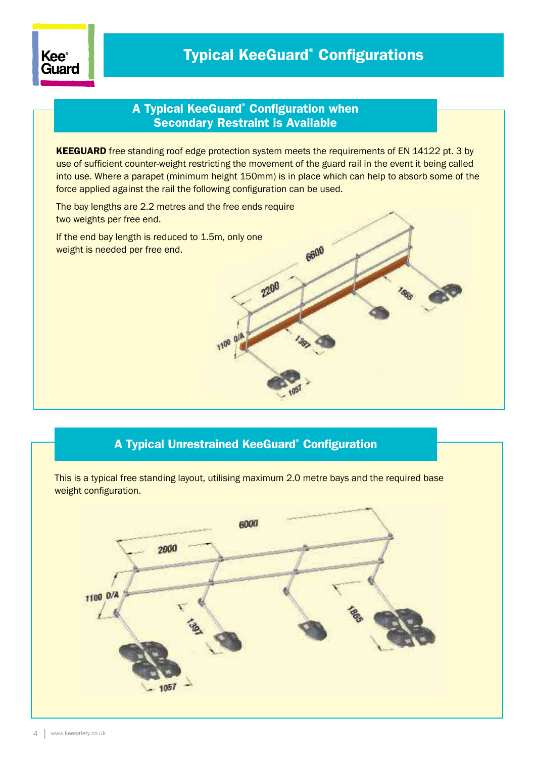

6600

#### A Typical KeeGuard® Configuration when Secondary Restraint is Available

KEEGUARD free standing roof edge protection system meets the requirements of EN 14122 pt. 3 by use of suficient counter-weight restricting the movement of the guard rail in the event it being called into use. Where a parapet (minimum height 150mm) is in place which can help to absorb some of the force applied against the rail the following configuration can be used.

2200

The bay lengths are 2.2 metres and the free ends require two weights per free end.

If the end bay length is reduced to 1.5m, only one weight is needed per free end.

#### A Typical Unrestrained KeeGuard® Configuration

This is a typical free standing layout, utilising maximum 2.0 metre bays and the required base weight configuration.

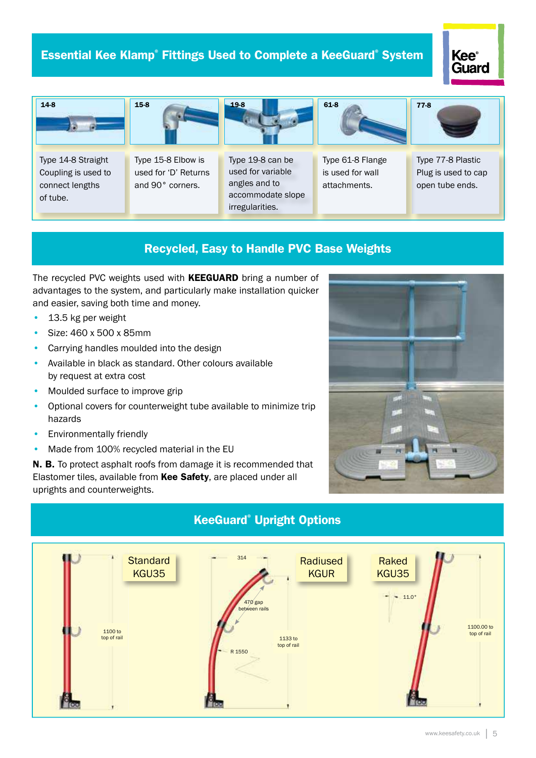#### Essential Kee Klamp® Fittings Used to Complete a KeeGuard® System

### **Kee**<sup>®</sup> Guard



#### Recycled, Easy to Handle PVC Base Weights

The recycled PVC weights used with **KEEGUARD** bring a number of advantages to the system, and particularly make installation quicker and easier, saving both time and money.

- 13.5 kg per weight
- Size: 460 x 500 x 85mm
- Carrying handles moulded into the design
- Available in black as standard. Other colours available by request at extra cost
- Moulded surface to improve grip
- Optional covers for counterweight tube available to minimize trip hazards
- Environmentally friendly
- Made from 100% recycled material in the EU

N. B. To protect asphalt roofs from damage it is recommended that Elastomer tiles, available from Kee Safety, are placed under all uprights and counterweights.





#### KeeGuard® Upright Options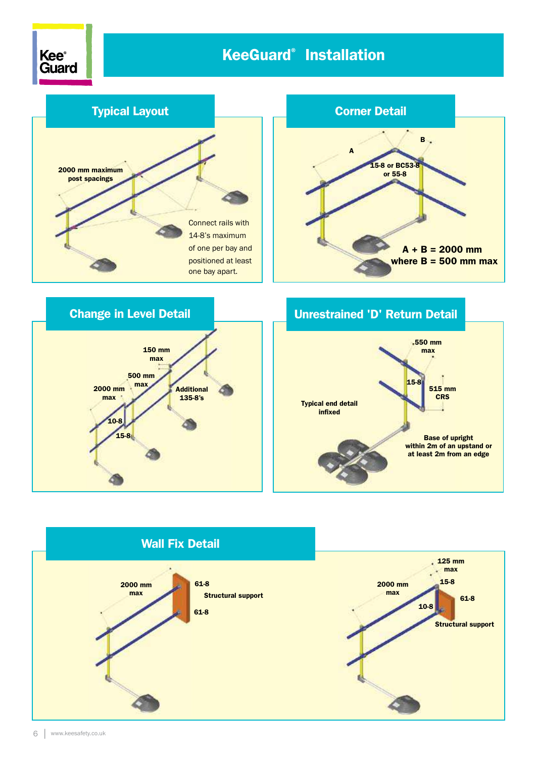



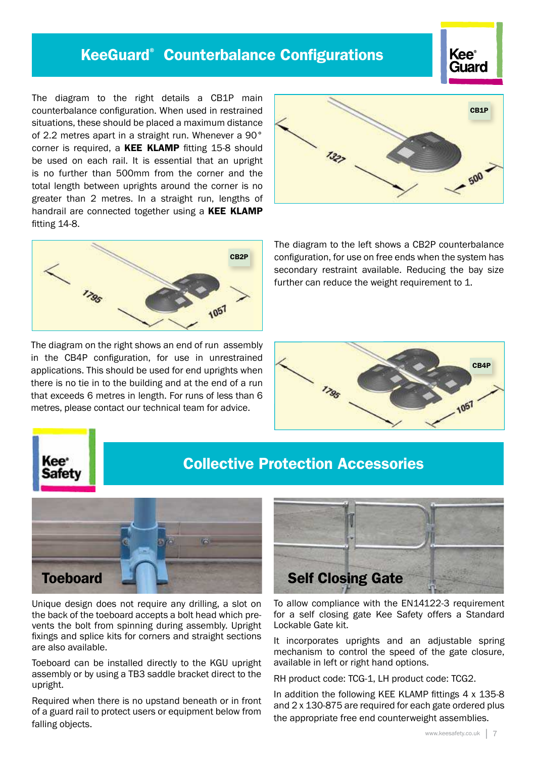### KeeGuard® Counterbalance Configurations



The diagram to the right details a CB1P main counterbalance coniguration. When used in restrained situations, these should be placed a maximum distance of 2.2 metres apart in a straight run. Whenever a 90° corner is required, a KEE KLAMP fitting 15-8 should be used on each rail. It is essential that an upright is no further than 500mm from the corner and the total length between uprights around the corner is no greater than 2 metres. In a straight run, lengths of handrail are connected together using a KEE KLAMP fitting 14-8.



The diagram on the right shows an end of run assembly in the CB4P configuration, for use in unrestrained applications. This should be used for end uprights when there is no tie in to the building and at the end of a run that exceeds 6 metres in length. For runs of less than 6 metres, please contact our technical team for advice.



The diagram to the left shows a CB2P counterbalance configuration, for use on free ends when the system has secondary restraint available. Reducing the bay size further can reduce the weight requirement to 1.





### Collective Protection Accessories



Unique design does not require any drilling, a slot on the back of the toeboard accepts a bolt head which prevents the bolt from spinning during assembly. Upright fixings and splice kits for corners and straight sections are also available.

Toeboard can be installed directly to the KGU upright assembly or by using a TB3 saddle bracket direct to the upright.

Required when there is no upstand beneath or in front of a guard rail to protect users or equipment below from falling objects.



To allow compliance with the EN14122-3 requirement for a self closing gate Kee Safety offers a Standard Lockable Gate kit.

It incorporates uprights and an adjustable spring mechanism to control the speed of the gate closure, available in left or right hand options.

RH product code: TCG-1, LH product code: TCG2.

In addition the following KEE KLAMP fittings 4 x 135-8 and 2 x 130-875 are required for each gate ordered plus the appropriate free end counterweight assemblies.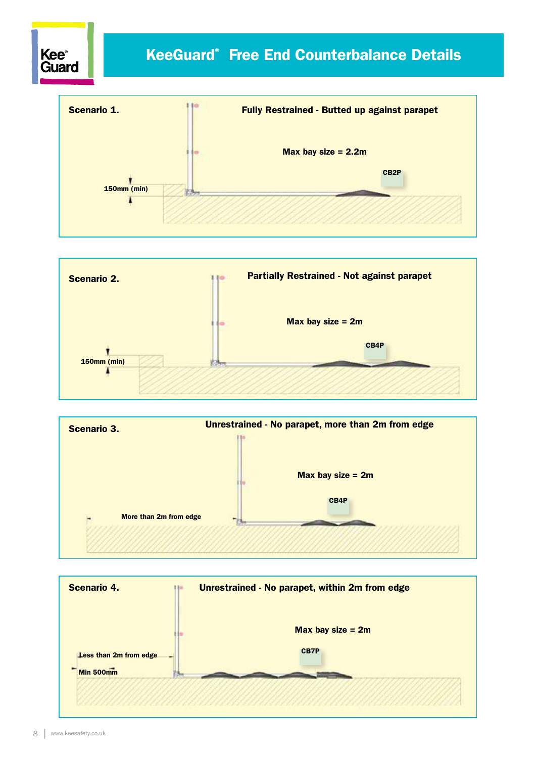## **Kee**<sup>®</sup> KeeGuard® Free End Counterbalance Details Guard Scenario 1. Fully Restrained - Butted up against parapet

Max bay size = 2.2m

CB2P

150mm (min)

٦





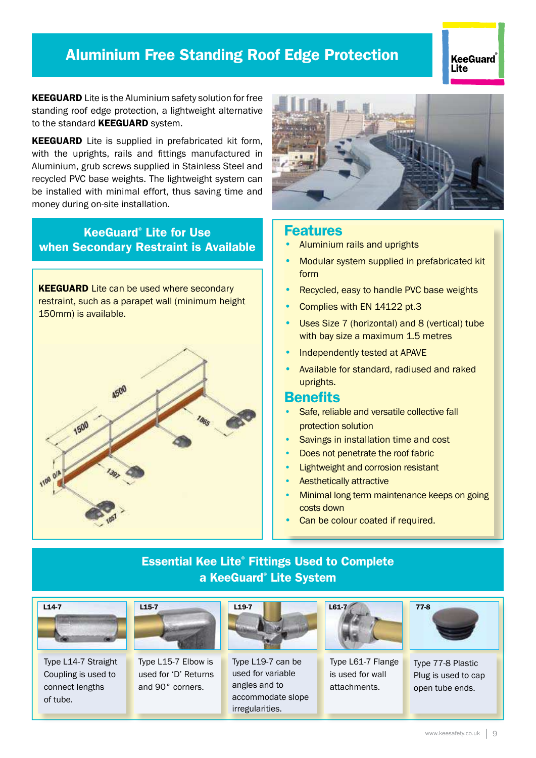### Aluminium Free Standing Roof Edge Protection

#### KeeGuard **Lite**

KEEGUARD Lite is the Aluminium safety solution for free standing roof edge protection, a lightweight alternative to the standard **KEEGUARD** system.

KEEGUARD Lite is supplied in prefabricated kit form, with the uprights, rails and fittings manufactured in Aluminium, grub screws supplied in Stainless Steel and recycled PVC base weights. The lightweight system can be installed with minimal effort, thus saving time and money during on-site installation.

#### KeeGuard® Lite for Use when Secondary Restraint is Available

**KEEGUARD** Lite can be used where secondary restraint, such as a parapet wall (minimum height 150mm) is available.





#### Features

- Aluminium rails and uprights
- Modular system supplied in prefabricated kit form
- Recycled, easy to handle PVC base weights
- Complies with EN 14122 pt.3
- Uses Size 7 (horizontal) and 8 (vertical) tube with bay size a maximum 1.5 metres
- Independently tested at APAVE
- Available for standard, radiused and raked uprights.

#### **Benefits**

- Safe, reliable and versatile collective fall protection solution
- Savings in installation time and cost
- Does not penetrate the roof fabric
- Lightweight and corrosion resistant
- Aesthetically attractive
- Minimal long term maintenance keeps on going costs down
- Can be colour coated if required.

#### Essential Kee Lite® Fittings Used to Complete a KeeGuard® Lite System



Type L14-7 Straight Coupling is used to connect lengths of tube.



Type L15-7 Elbow is used for 'D' Returns and 90° corners.



Type L19-7 can be used for variable angles and to accommodate slope irregularities.



Type L61-7 Flange is used for wall attachments.



Type 77-8 Plastic Plug is used to cap open tube ends.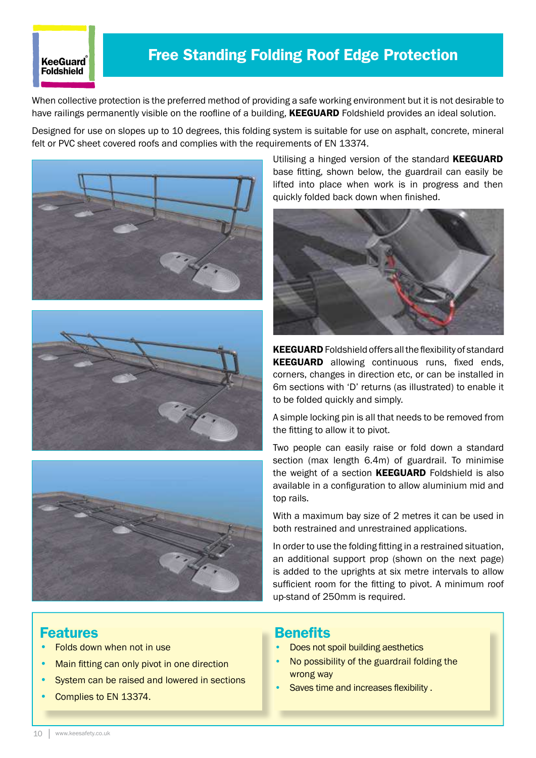#### **KeeGuard** Foldshield

### Free Standing Folding Roof Edge Protection

When collective protection is the preferred method of providing a safe working environment but it is not desirable to have railings permanently visible on the roofline of a building, KEEGUARD Foldshield provides an ideal solution.

Designed for use on slopes up to 10 degrees, this folding system is suitable for use on asphalt, concrete, mineral felt or PVC sheet covered roofs and complies with the requirements of EN 13374.







Utilising a hinged version of the standard KEEGUARD base fitting, shown below, the guardrail can easily be lifted into place when work is in progress and then quickly folded back down when finished.



KEEGUARD Foldshield offers all the flexibility of standard KEEGUARD allowing continuous runs, fixed ends, corners, changes in direction etc, or can be installed in 6m sections with 'D' returns (as illustrated) to enable it to be folded quickly and simply.

A simple locking pin is all that needs to be removed from the fitting to allow it to pivot.

Two people can easily raise or fold down a standard section (max length 6.4m) of guardrail. To minimise the weight of a section **KEEGUARD** Foldshield is also available in a configuration to allow aluminium mid and top rails.

With a maximum bay size of 2 metres it can be used in both restrained and unrestrained applications.

In order to use the folding fitting in a restrained situation, an additional support prop (shown on the next page) is added to the uprights at six metre intervals to allow sufficient room for the fitting to pivot. A minimum roof up-stand of 250mm is required.

#### Features

- Folds down when not in use
- Main fitting can only pivot in one direction
- System can be raised and lowered in sections
- Complies to EN 13374.

#### **Benefits**

- Does not spoil building aesthetics
- No possibility of the guardrail folding the wrong way
- Saves time and increases flexibility.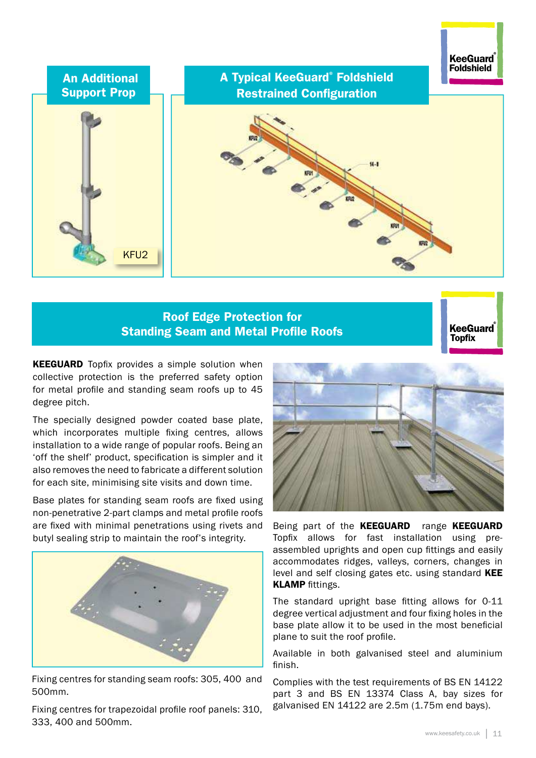

#### Roof Edge Protection for Standing Seam and Metal Profile Roofs



**KEEGUARD** Topfix provides a simple solution when collective protection is the preferred safety option for metal profile and standing seam roofs up to 45 degree pitch.

The specially designed powder coated base plate, which incorporates multiple fixing centres, allows installation to a wide range of popular roofs. Being an 'off the shelf' product, specification is simpler and it also removes the need to fabricate a different solution for each site, minimising site visits and down time.

Base plates for standing seam roofs are fixed using non-penetrative 2-part clamps and metal profile roofs are fixed with minimal penetrations using rivets and butyl sealing strip to maintain the roof's integrity.



Fixing centres for standing seam roofs: 305, 400 and 500mm.

Fixing centres for trapezoidal profile roof panels: 310, 333, 400 and 500mm.



Being part of the KEEGUARD range KEEGUARD Topix allows for fast installation using preassembled uprights and open cup ittings and easily accommodates ridges, valleys, corners, changes in level and self closing gates etc. using standard KEE **KLAMP** fittings.

The standard upright base fitting allows for 0-11 degree vertical adjustment and four fixing holes in the base plate allow it to be used in the most beneficial plane to suit the roof profile.

Available in both galvanised steel and aluminium finish.

Complies with the test requirements of BS EN 14122 part 3 and BS EN 13374 Class A, bay sizes for galvanised EN 14122 are 2.5m (1.75m end bays).